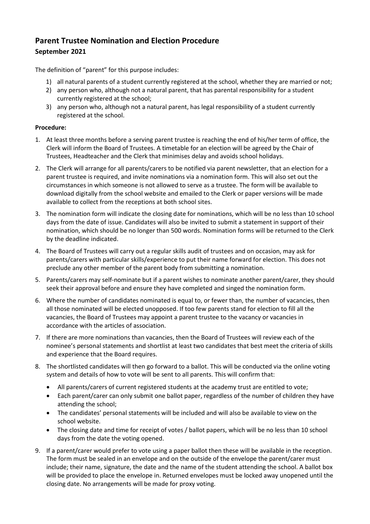## **Parent Trustee Nomination and Election Procedure September 2021**

The definition of "parent" for this purpose includes:

- 1) all natural parents of a student currently registered at the school, whether they are married or not;
- 2) any person who, although not a natural parent, that has parental responsibility for a student currently registered at the school;
- 3) any person who, although not a natural parent, has legal responsibility of a student currently registered at the school.

## **Procedure:**

- 1. At least three months before a serving parent trustee is reaching the end of his/her term of office, the Clerk will inform the Board of Trustees. A timetable for an election will be agreed by the Chair of Trustees, Headteacher and the Clerk that minimises delay and avoids school holidays.
- 2. The Clerk will arrange for all parents/carers to be notified via parent newsletter, that an election for a parent trustee is required, and invite nominations via a nomination form. This will also set out the circumstances in which someone is not allowed to serve as a trustee. The form will be available to download digitally from the school website and emailed to the Clerk or paper versions will be made available to collect from the receptions at both school sites.
- 3. The nomination form will indicate the closing date for nominations, which will be no less than 10 school days from the date of issue. Candidates will also be invited to submit a statement in support of their nomination, which should be no longer than 500 words. Nomination forms will be returned to the Clerk by the deadline indicated.
- 4. The Board of Trustees will carry out a regular skills audit of trustees and on occasion, may ask for parents/carers with particular skills/experience to put their name forward for election. This does not preclude any other member of the parent body from submitting a nomination.
- 5. Parents/carers may self-nominate but if a parent wishes to nominate another parent/carer, they should seek their approval before and ensure they have completed and singed the nomination form.
- 6. Where the number of candidates nominated is equal to, or fewer than, the number of vacancies, then all those nominated will be elected unopposed. If too few parents stand for election to fill all the vacancies, the Board of Trustees may appoint a parent trustee to the vacancy or vacancies in accordance with the articles of association.
- 7. If there are more nominations than vacancies, then the Board of Trustees will review each of the nominee's personal statements and shortlist at least two candidates that best meet the criteria of skills and experience that the Board requires.
- 8. The shortlisted candidates will then go forward to a ballot. This will be conducted via the online voting system and details of how to vote will be sent to all parents. This will confirm that:
	- All parents/carers of current registered students at the academy trust are entitled to vote;
	- Each parent/carer can only submit one ballot paper, regardless of the number of children they have attending the school;
	- The candidates' personal statements will be included and will also be available to view on the school website.
	- The closing date and time for receipt of votes / ballot papers, which will be no less than 10 school days from the date the voting opened.
- 9. If a parent/carer would prefer to vote using a paper ballot then these will be available in the reception. The form must be sealed in an envelope and on the outside of the envelope the parent/carer must include; their name, signature, the date and the name of the student attending the school. A ballot box will be provided to place the envelope in. Returned envelopes must be locked away unopened until the closing date. No arrangements will be made for proxy voting.